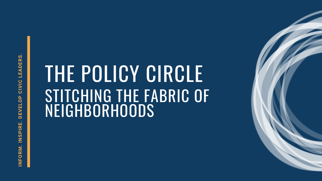#### THE POLICY CIRCLE STITCHING THE FABRIC OF NEIGHBORHOODS



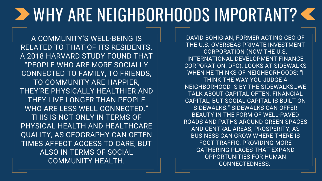### WHY ARE NEIGHBORHOODS IMPORTANT?

A COMMUNITY'S WELL-BEING IS RELATED TO THAT OF ITS RESIDENTS. A 2018 HARVARD STUDY FOUND THAT "PEOPLE WHO ARE MORE SOCIALLY CONNECTED TO FAMILY, TO FRIENDS, TO COMMUNITY ARE HAPPIER, THEY'RE PHYSICALLY HEALTHIER AND THEY LIVE LONGER THAN PEOPLE WHO ARE LESS WELL CONNECTED." THIS IS NOT ONLY IN TERMS OF PHYSICAL HEALTH AND HEALTHCARE QUALITY, AS GEOGRAPHY CAN OFTEN TIMES AFFECT ACCESS TO CARE, BUT ALSO IN TERMS OF SOCIAL COMMUNITY HEALTH.

DAVID BOHIGIAN, FORMER ACTING CEO OF THE U.S. OVERSEAS PRIVATE INVESTMENT CORPORATION (NOW THE U.S. INTERNATIONAL DEVELOPMENT FINANCE CORPORATION, DFC), LOOKS AT SIDEWALKS WHEN HE THINKS OF NEIGHBORHOODS: "I THINK THE WAY YOU JUDGE A NEIGHBORHOOD IS BY THE SIDEWALKS…WE TALK ABOUT CAPITAL OFTEN, FINANCIAL CAPITAL, BUT SOCIAL CAPITAL IS BUILT ON SIDEWALKS." SIDEWALKS CAN OFFER BEAUTY IN THE FORM OF WELL-PAVED ROADS AND PATHS AROUND GREEN SPACES AND CENTRAL AREAS; PROSPERITY, AS BUSINESS CAN GROW WHERE THERE IS FOOT TRAFFIC, PROVIDING MORE GATHERING PLACES THAT EXPAND OPPORTUNITIES FOR HUMAN CONNECTEDNESS.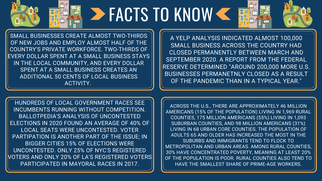# FACTS TO KNOW

SMALL BUSINESSES CREATE ALMOST TWO-THIRDS OF NEW JOBS AND EMPLOY ALMOST HALF OF THE COUNTRY'S PRIVATE WORKFORCE. TWO-THIRDS OF EVERY DOLLAR SPENT AT A SMALL BUSINESS STAYS IN THE LOCAL COMMUNITY, AND EVERY DOLLAR SPENT AT A SMALL BUSINESS CREATES AN ADDITIONAL 50 CENTS OF LOCAL BUSINESS ACTIVITY.

HUNDREDS OF LOCAL GOVERNMENT RACES SEE INCUMBENTS RUNNING WITHOUT COMPETITION. BALLOTPEDIA'S ANALYSIS OF UNCONTESTED ELECTIONS IN 2020 FOUND AN AVERAGE OF 40% OF LOCAL SEATS WERE UNCONTESTED. VOTER PARTIPATION IS ANOTHER PART OF THE ISSUE; IN BIGGER CITIES 15% OF ELECTIONS WERE UNCONTESTED. ONLY 25% OF NYC'S REGISTERED VOTERS AND ONLY 20% OF LA'S REGISTERED VOTERS PARTICIPATED IN MAYORAL RACES IN 2017.

A YELP ANALYSIS INDICATED ALMOST 100,000 SMALL BUSINESS ACROSS THE COUNTRY HAD CLOSED PERMANENTLY BETWEEN MARCH AND SEPTEMBER 2020. A REPORT FROM THE FEDERAL RESERVE DETERMINED "AROUND 200,000 MORE U.S. BUSINESSES PERMANETNLY CLOSED AS A RESULT OF THE PANDEMIC THAN IN A TYPICAL YEAR."

ACROSS THE U.S., THERE ARE APPROXIMATELY 46 MILLION AMERICANS (15% OF THE POPULATION) LIVING IN 1,969 RURAL COUNTIES, 175 MILLION AMERICANS (55%) LIVING IN 1,093 SUBURBAN COUNTIES, AND 98 MILLION AMERICANS (31%) LIVING IN 68 URBAN CORE COUNTIES. THE POPULATION OF ADULTS 65 AND OLDER HAS INCREASED THE MOST IN THE SUBURBS AND IMMIGRANTS TEND TO FLOCK TO METROPOLITAN AND URBAN AREAS. AMONG RURAL COUNTIES, 30% HAVE CONCENTRATED POVERTY, MEANING AT LEAST 20% OF THE POPULATION IS POOR. RURAL COUNTIES ALSO TEND TO HAVE THE SMALLEST SHARE OF PRIME-AGE WORKERS.

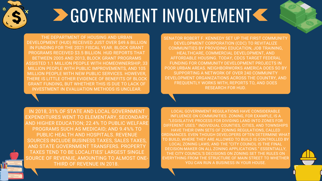

# **DE GOVERNMENT INVOLVEMENT <<**

THE DEPARTMENT OF HOUSING AND URBAN DEVELOPMENT (HUD) RECEIVED JUST OVER \$49.6 BILLION IN FUNDING FOR THE 2021 FISCAL YEAR. BLOCK GRANT PROGRAMS RECEIVED \$3.5 BILLION. HUD REPORTS THAT BETWEEN 2005 AND 2013, BLOCK GRANT PROGRAMS ASSISTED 1.1 MILLION PEOPLE WITH HOMEOWNERSHIP, 33 MILLION PEOPLE WITH PUBLIC IMPROVEMENTS, AND 105 MILLION PEOPLE WITH NEW PUBLIC SERVICES. HOWEVER, THERE IS LITTLE OTHER EVIDENCE OF BENEFITS OF BLOCK GRANT FUNDING, BUT WHETHER THIS IS DUE TO LACK OF INVESTMENT IN EVALUATION METHODS IS UNCLEAR.

> LOCAL GOVERNMENT REGULATIONS HAVE CONSIDERABLE INFLUENCE ON COMMUNITIES. ZONING, FOR EXAMPLE, IS A "LEGISLATIVE PROCESS FOR DIVIDING LAND INTO ZONES FOR DIFFERENT USES." INDIVIDUAL COUNTIES, CITIES, AND TOWNSHIPS HAVE THEIR OWN SETS OF ZONING REGULATIONS, CALLED ORDINANCES. EVEN THOUGH DEVELOPERS OFTEN DETERMINE WHAT TO BUILD, WHERE THEY ARE ALLOWED TO BUILD IS CONTROLLED BY LOCAL ZONING LAWS, AND THE "CITY COUNCIL IS THE FINAL DECISION-MAKER ON ALL ZONING APPLICATIONS." ESSENTIALLY, THE CITY COUNCIL'S DECISIONS ON ZONING SET THE RULES ON EVERYTHING FROM THE STRUCTURE OF MAIN STREET TO WHETHER YOU CAN RUN A BUSINESS IN YOUR HOUSE.

SENATOR ROBERT F. KENNEDY SET UP THE FIRST COMMUNITY DEVELOPMENT CORPORATION (CDC) TO REVITALIZE COMMUNITIES BY PROVIDING EDUCATION, JOB TRAINING, HEALTHCARE, COMMERCIAL DEVELOPMENT, AND AFFORDABLE HOUSING. TODAY, CDCS TARGET FEDERAL FUNDING FOR COMMUNITY DEVELOPMENT PROJECTS IN POOR URBAN AREAS. NEIGHBORWORKS AMERICA DOES SO BY SUPPORTING A NETWORK OF OVER 240 COMMUNITY DEVELOPMENT ORGANIZATIONS ACROSS THE COUNTRY, AND FREQUENTLY WORKS WITH, REPORTS TO, AND DOES RESEARCH FOR HUD.

IN 2018, 31% OF STATE AND LOCAL GOVERNMENT EXPENDITURES WENT TO ELEMENTARY, SECONDARY, AND HIGHER EDUCATION; 22.4% TO PUBLIC WELFARE PROGRAMS SUCH AS MEDICAID; AND 9.4%% TO PUBLIC HEALTH AND HOSPITALS. REVENUE SOURCES INCLUDE BUSINESS TAXES, SALES TAXES, AND STATE GOVERNMENT TRANSFERS. PROPERTY TAXES TEND TO BE LOCALITIES' LARGEST SINGLE SOURCE OF REVENUE, AMOUNTING TO ALMOST ONE- THIRD OF REVENUE IN 2018.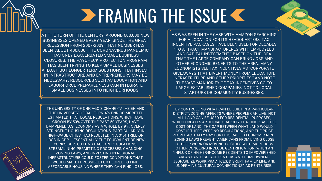## **ERAMING THE ISSUE K**

AT THE TURN OF THE CENTURY, AROUND 600,000 NEW BUSINESSES OPENED EVERY YEAR; SINCE THE GREAT RECESSION FROM 2007-2009, THAT NUMBER HAS BEEN ABOUT 400,000. THE CORONAVIRUS PANDEMIC HAS ONLY [EXACERBATED](https://www.cnbc.com/2020/10/15/small-businesses-are-in-survival-mode-as-the-covid-pandemic-drags-on.html) SMALL BUSINESS CLOSURES. THE PAYCHECK PROTECTION PROGRAM HAS BEEN TRYING TO KEEP SMALL BUSINESSES AFLOAT, BUT LONGER TERM SOLUTIONS THAT INVEST IN INFRASTRUCTURE AND ENTREPRENEURS MAY BE NECESSARY. RESOURCES SUCH AS EDUCATION AND LABOR-FORCE PREPAREDNESS CAN INTEGRATE SMALL BUSINESSES INTO NEIGHBORHOODS.

THE UNIVERSITY OF CHICAGO'S CHANG-TAI HSIEH AND THE UNIVERSITY OF CALIFORNIA'S ENRICO MORETTI ESTIMATED THAT LOCAL REGULATIONS, WHICH HAVE GROWN BY 50% OVER THE PAST 50 YEARS, HAVE DAMPENED U.S. ECONOMY AS A WHOLE BY 9%. OVERLY STRINGENT HOUSING REGULATIONS, PARTICULARLY IN HIGH-WAGE CITIES, HAS RESULTED IN A \$1.4 TRILLION LOSS IN GDP – ESSENTIALLY THE EQUIVALENT OF NEW YORK'S GDP. CUTTING BACK ON REGULATIONS, STREAMLINING PERMITTING PROCESSES, CHANGING ZONING LAWS, AND INVESTING IN REGIONAL INFRASTRUCTURE COULD FOSTER CONDITIONS THAT WOULD MAKE IT POSSIBLE FOR PEOPLE TO FIND AFFORDABLE HOUSING WHERE THEY CAN FIND JOBS.

BY CONTROLLING WHAT CAN BE BUILT IN A PARTICULAR DISTRICT, ZONING AFFECTS WHERE PEOPLE CAN LIVE. NOT ALL LAND CAN BE USED FOR RESIDENTIAL PURPOSES, WHICH CREATES ARTIFICIAL SCARCITY THAT INCREASE THE COST OF LAND. THE GAP BETWEEN WHAT LAND WOULD COST IF THERE WERE NO REGULATIONS, AND THE PRICE PEOPLE ACTUALLY PAY FOR IT, IS CALLED ECONOMIC RENT. ZONING LAWS PREVENT AMERICANS FROM LIVING CLOSE TO THEIR WORK OR MOVING TO CITIES WITH MORE JOBS. OTHER CONCERNS INCLUDE GENTRIFICATION, WHEN AN "INFLUX OF HIGHER-INCOME RESIDENTS TO IMPOVERISHED AREAS CAN 'DISPLACE RENTERS AND HOMEOWNERS, JEOPARDIZE WORK PRACTICES, DISRUPT FAMILY LIFE, AND UNDERMINE CULTURAL CONNECTIONS'" AS RENTS RISE.



AS WAS SEEN IN THE CASE WITH AMAZON SEARCHING FOR A LOCATION FOR ITS HEADQUARTERS, TAX INCENTIVE PACKAGES HAVE BEEN USED FOR DECADES "TO ATTRACT MANUFACTURERES WITH EMPLOYEES AND CAPITAL INVESTMENT," BASED ON THE IDEA THAT THE LARGE COMPANY CAN BRING JOBS AND OTHER ECONOMIC BENEFITS TO THE AREA. MANY ECONOMISTS SEE TAX INCENTIVES AS "CORPORATE GIVEAWAYS THAT DIVERT MONEY FROM EDUCATION, INFRASTRUTURE AND OTHER PRIORITIES," AND NOTE THE VAST MANJORITY OF TAX INCENTIVES GO TO LARGE, ESTABLISHED COMPANIES, NOT TO LOCAL START-UPS OR COMMUNITY BUSINESSES.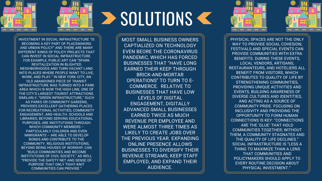



## **SOLUTIONS C**

MOST SMALL BUSINESS OWNERS CAPTIALIZED ON TECHNOLOGY EVEN BEORE THE CORONAVIRUS PANDEMIC, WHICH HAS FORCED BUSINESSES THAT "HAVE LONG EARNED THEIR KEEP THROUGH BRICK-AND-MORTAR OPERATIONS" TO TURN TO E- COMMERCE. RELATIVE TO BUSINESSES THAT HAVE LOW LEVELS OF DIGITAL ENGAGEMENT, DIGITALLY ADVANCED SMALL BUSINESSES EARNED TWICE AS MUCH REVENUE PER EMPLOYEE AND WERE ALMOST THREE TIMES AS LIKELY TO CREATE JOBS OVER THE PREVIOUS YEAR. EXPANDING ONLINE PRESENCE ALLOWS BUSINESSES TO DIVERSIFY THEIR REVENUE STREAMS, KEEP STAFF EMPLOYED, AND EXPAND THEIR AUDIENCE.





INVESTMENT IN SOCIAL INFRASTRUCTURE "IS BECOMING A KEY PART OF PLACEMAKING AND URBAN POLICY" AND THERE ARE MANY DIFFERENT KINDS OF POLICY PROJECTS THAT CAN INVEST IN SOCIAL INFRASTRUCTURE. FOR EXAMPLE, PUBLIC ART CAN "SPARK REVITALIZATION IN BLIGHTED NEIGHBORHOODS AND TURN VACANT LAND INTO PLACES WHERE PEOPLE WANT TO LIVE, WORK, AND PLAY." IN NEW YORK CITY, AN OLD ABANDONED PIECE OF TRANSIT INFRASTRUCTURE WAS TURNED INTO A PARK AREA WHICH IS NOW THE HIGH LINE, ONE OF THE CITY'S LARGEST TOURIST ATTRACTIONS. SIMILARLY, "GREEN INFRASTRUCTURE," SUCH AS PARKS OR COMMUNITY GARDENS, PROVIDES EXCELLENT GATHERING PLACES FOR RECREATIONAL ACTIVITIES, COMMUNITY ENGAGEMENT, AND HEALTH. SCHOOLS AND LIBRARIES, BEYOND SERVING EDUCATIONAL PURPOSES, ARE INSTITUTIONS THROUGH WHICH COMMUNITY MEMBERS – PARTICULARLY CHILDREN AND EVEN IMMIGRANTS – ARE ABLE TO DEVELOP BONDS AND CONTRIBUTE TO THE COMMUNITY. RELIGIOUS INSTITUTIONS, BEYOND BEING HOUSES OF WORSHIP, CAN "BUILD COMMUNITIES AND BECOME INSTITUTIONS OF CIVIL SOCIETY," AS WELL "PROVIDE THE SAFETY NET AND SENSE OF PURPOSE THAT ONLY TIGHT-KNIT COMMUNITIES CAN PROVIDE."

PHYSICAL SPACES ARE NOT THE ONLY WAY TO PROVIDE SOCIAL COHESION; FESTIVALS AND SPECIAL EVENTS CAN PROVIDE COMMUNITIES WITH EXTRA BENEFITS. DURING THESE EVENTS, LOCAL VENDORS, ARTISANS, RESTAURANTEURS, AND HOTELIERS ALL BENEFIT FROM VISITORS, WHICH CONTRIBUTES TO QUALITY OF LIFE BY STRENGTHENING COMMUNITIES, PROVIDING UNIQUE ACTIVITIES AND EVENTS, BUILDING AWARENESS OF DIVERSE CULTURES AND IDENTITIES, AND ACTING AS A SOURCE OF COMMUNITY PRIDE. FOCUSING ON INCLUSIVITY AND PROVIDING THE OPPORTUNITY TO FORM HUMAN CONNECTIONS IS KEY: "CONNECTIONS ARE THE 'GLUE' THAT HOLD COMMUNITIES TOGETHER; WITHOUT THEM, A COMMUNITY STAGNATES AND THE QUALITY OF LIFE DECLINES." SOCIAL INFRASTRUCTURE IS "LESS A THING TO MAXIMIZE THAN A LENS THAT COMMUNITIES AND POLICYMAKERS SHOULD APPLY TO EVERY ROUTINE DECISION ABOUT PHYSICAL INVESTMENT."